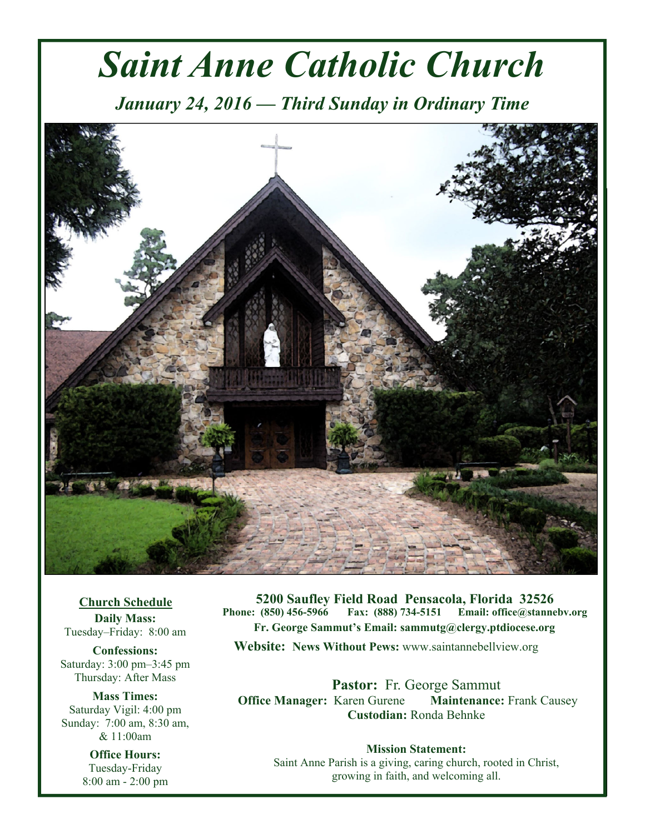# *Saint Anne Catholic Church*

*January 24, 2016 — Third Sunday in Ordinary Time* 



**Church Schedule Daily Mass:**  Tuesday–Friday: 8:00 am

**Confessions:**  Saturday: 3:00 pm–3:45 pm Thursday: After Mass

**Mass Times:**  Saturday Vigil: 4:00 pm Sunday: 7:00 am, 8:30 am, & 11:00am

> **Office Hours:**  Tuesday-Friday 8:00 am - 2:00 pm

**5200 Saufley Field Road Pensacola, Florida 32526 Phone: (850) 456-5966 Fax: (888) 734-5151 Email: office@stannebv.org Fr. George Sammut's Email: sammutg@clergy.ptdiocese.org Website: News Without Pews:** www.saintannebellview.org

**Pastor:** Fr. George Sammut **Office Manager: Karen Gurene Maintenance: Frank Causey Custodian:** Ronda Behnke

**Mission Statement:** Saint Anne Parish is a giving, caring church, rooted in Christ, growing in faith, and welcoming all.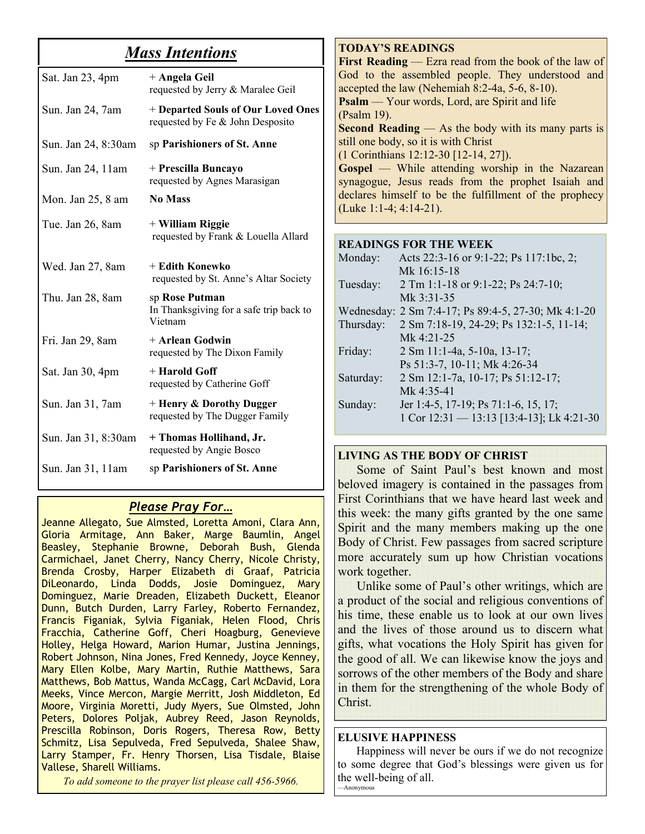# *Mass Intentions*

| Sat. Jan 23, 4pm    | + Angela Geil<br>requested by Jerry & Maralee Geil                     |
|---------------------|------------------------------------------------------------------------|
| Sun. Jan 24, 7am    | + Departed Souls of Our Loved Ones<br>requested by Fe & John Desposito |
| Sun. Jan 24, 8:30am | sp Parishioners of St. Anne                                            |
| Sun. Jan 24, 11am   | + Prescilla Buncayo<br>requested by Agnes Marasigan                    |
| Mon. Jan 25, 8 am   | <b>No Mass</b>                                                         |
| Tue. Jan 26, 8am    | + William Riggie<br>requested by Frank & Louella Allard                |
| Wed. Jan 27, 8am    | + Edith Konewko<br>requested by St. Anne's Altar Society               |
| Thu. Jan 28, 8am    | sp Rose Putman<br>In Thanksgiving for a safe trip back to<br>Vietnam   |
| Fri. Jan 29, 8am    | + Arlean Godwin<br>requested by The Dixon Family                       |
| Sat. Jan 30, 4pm    | + Harold Goff<br>requested by Catherine Goff                           |
| Sun. Jan 31, 7am    | $+$ Henry & Dorothy Dugger<br>requested by The Dugger Family           |
| Sun. Jan 31, 8:30am | + Thomas Hollihand, Jr.<br>requested by Angie Bosco                    |
| Sun. Jan 31, 11 am  | sp Parishioners of St. Anne                                            |

# *Please Pray For…*

Jeanne Allegato, Sue Almsted, Loretta Amoni, Clara Ann, Gloria Armitage, Ann Baker, Marge Baumlin, Angel Beasley, Stephanie Browne, Deborah Bush, Glenda Carmichael, Janet Cherry, Nancy Cherry, Nicole Christy, Brenda Crosby, Harper Elizabeth di Graaf, Patricia DiLeonardo, Linda Dodds, Josie Dominguez, Mary Dominguez, Marie Dreaden, Elizabeth Duckett, Eleanor Dunn, Butch Durden, Larry Farley, Roberto Fernandez, Francis Figaniak, Sylvia Figaniak, Helen Flood, Chris Fracchia, Catherine Goff, Cheri Hoagburg, Genevieve Holley, Helga Howard, Marion Humar, Justina Jennings, Robert Johnson, Nina Jones, Fred Kennedy, Joyce Kenney, Mary Ellen Kolbe, Mary Martin, Ruthie Matthews, Sara Matthews, Bob Mattus, Wanda McCagg, Carl McDavid, Lora Meeks, Vince Mercon, Margie Merritt, Josh Middleton, Ed Moore, Virginia Moretti, Judy Myers, Sue Olmsted, John Peters, Dolores Poljak, Aubrey Reed, Jason Reynolds, Prescilla Robinson, Doris Rogers, Theresa Row, Betty Schmitz, Lisa Sepulveda, Fred Sepulveda, Shalee Shaw, Larry Stamper, Fr. Henry Thorsen, Lisa Tisdale, Blaise Vallese, Sharell Williams.

*To add someone to the prayer list please call 456-5966.* 

#### **TODAY'S READINGS**

**First Reading** — Ezra read from the book of the law of God to the assembled people. They understood and accepted the law (Nehemiah 8:2-4a, 5-6, 8-10). **Psalm** — Your words, Lord, are Spirit and life (Psalm 19). **Second Reading** — As the body with its many parts is still one body, so it is with Christ (1 Corinthians 12:12-30 [12-14, 27]). **Gospel** — While attending worship in the Nazarean synagogue, Jesus reads from the prophet Isaiah and declares himself to be the fulfillment of the prophecy (Luke 1:1-4; 4:14-21).

#### **READINGS FOR THE WEEK**

| Monday:   | Acts 22:3-16 or 9:1-22; Ps 117:1bc, 2;              |
|-----------|-----------------------------------------------------|
|           | Mk 16:15-18                                         |
| Tuesday:  | 2 Tm 1:1-18 or 9:1-22; Ps 24:7-10;                  |
|           | Mk 3:31-35                                          |
|           | Wednesday: 2 Sm 7:4-17; Ps 89:4-5, 27-30; Mk 4:1-20 |
| Thursday: | 2 Sm 7:18-19, 24-29; Ps 132:1-5, 11-14;             |
|           | Mk $4.21 - 25$                                      |
| Friday:   | 2 Sm 11:1-4a, 5-10a, 13-17;                         |
|           | Ps 51:3-7, 10-11; Mk 4:26-34                        |
| Saturday: | 2 Sm 12:1-7a, 10-17; Ps 51:12-17;                   |
|           | Mk $4.35 - 41$                                      |
| Sunday:   | Jer 1:4-5, 17-19; Ps 71:1-6, 15, 17;                |
|           | 1 Cor 12:31 - 13:13 [13:4-13]; Lk 4:21-30           |
|           |                                                     |

#### **LIVING AS THE BODY OF CHRIST**

Some of Saint Paul's best known and most beloved imagery is contained in the passages from First Corinthians that we have heard last week and this week: the many gifts granted by the one same Spirit and the many members making up the one Body of Christ. Few passages from sacred scripture more accurately sum up how Christian vocations work together.

 Unlike some of Paul's other writings, which are a product of the social and religious conventions of his time, these enable us to look at our own lives and the lives of those around us to discern what gifts, what vocations the Holy Spirit has given for the good of all. We can likewise know the joys and sorrows of the other members of the Body and share in them for the strengthening of the whole Body of Christ.

#### **ELUSIVE HAPPINESS**

 Happiness will never be ours if we do not recognize to some degree that God's blessings were given us for the well-being of all. —Anonymous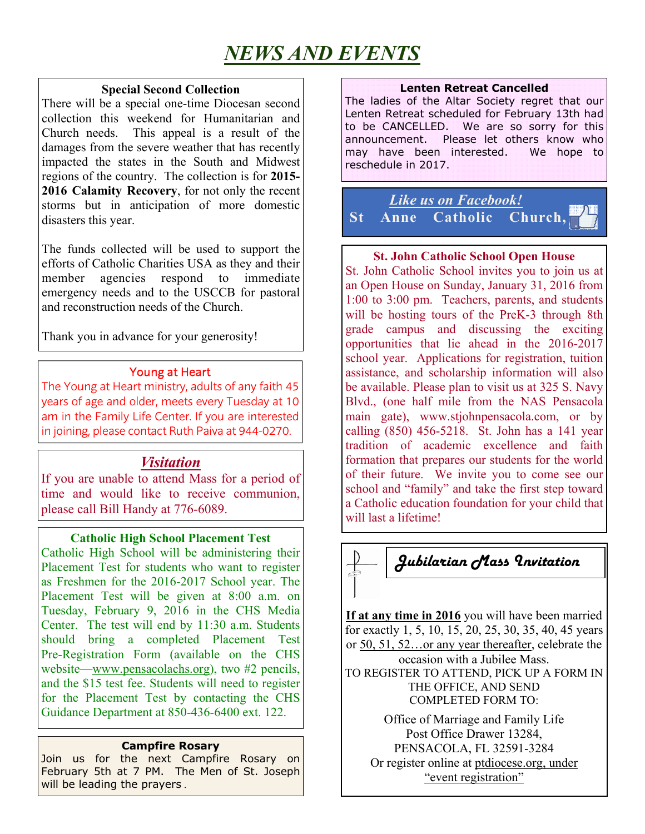# *NEWS AND EVENTS*

#### **Special Second Collection**

There will be a special one-time Diocesan second collection this weekend for Humanitarian and Church needs. This appeal is a result of the damages from the severe weather that has recently impacted the states in the South and Midwest regions of the country. The collection is for **2015- 2016 Calamity Recovery**, for not only the recent storms but in anticipation of more domestic disasters this year.

The funds collected will be used to support the efforts of Catholic Charities USA as they and their member agencies respond to immediate emergency needs and to the USCCB for pastoral and reconstruction needs of the Church.

Thank you in advance for your generosity!

# Young at Heart

The Young at Heart ministry, adults of any faith 45 years of age and older, meets every Tuesday at 10 am in the Family Life Center. If you are interested in joining, please contact Ruth Paiva at 944-0270.

# *Visitation*

If you are unable to attend Mass for a period of time and would like to receive communion, please call Bill Handy at 776-6089.

### **Catholic High School Placement Test**

Catholic High School will be administering their Placement Test for students who want to register as Freshmen for the 2016-2017 School year. The Placement Test will be given at 8:00 a.m. on Tuesday, February 9, 2016 in the CHS Media Center. The test will end by 11:30 a.m. Students should bring a completed Placement Test Pre-Registration Form (available on the CHS website—www.pensacolachs.org), two #2 pencils, and the \$15 test fee. Students will need to register for the Placement Test by contacting the CHS Guidance Department at 850-436-6400 ext. 122.

#### **Campfire Rosary**

Join us for the next Campfire Rosary on February 5th at 7 PM. The Men of St. Joseph will be leading the prayers .

#### **Lenten Retreat Cancelled**

The ladies of the Altar Society regret that our Lenten Retreat scheduled for February 13th had to be CANCELLED. We are so sorry for this announcement. Please let others know who may have been interested. We hope to reschedule in 2017.

*Like us on Facebook!* **St Anne Catholic Church,** 

### **St. John Catholic School Open House**

St. John Catholic School invites you to join us at an Open House on Sunday, January 31, 2016 from 1:00 to 3:00 pm. Teachers, parents, and students will be hosting tours of the PreK-3 through 8th grade campus and discussing the exciting opportunities that lie ahead in the 2016-2017 school year. Applications for registration, tuition assistance, and scholarship information will also be available. Please plan to visit us at 325 S. Navy Blvd., (one half mile from the NAS Pensacola main gate), www.stjohnpensacola.com, or by calling (850) 456-5218. St. John has a 141 year tradition of academic excellence and faith formation that prepares our students for the world of their future. We invite you to come see our school and "family" and take the first step toward a Catholic education foundation for your child that will last a lifetime!



**If at any time in 2016** you will have been married for exactly 1, 5, 10, 15, 20, 25, 30, 35, 40, 45 years or 50, 51, 52…or any year thereafter, celebrate the occasion with a Jubilee Mass. TO REGISTER TO ATTEND, PICK UP A FORM IN THE OFFICE, AND SEND COMPLETED FORM TO:

Office of Marriage and Family Life Post Office Drawer 13284, PENSACOLA, FL 32591-3284 Or register online at ptdiocese.org, under "event registration"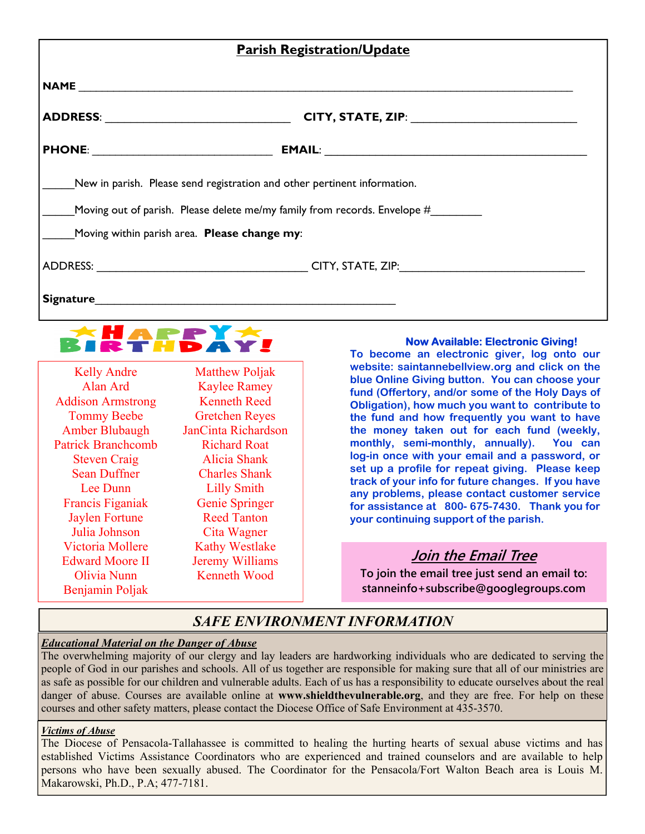|                                              | <b>Parish Registration/Update</b>                                         |  |
|----------------------------------------------|---------------------------------------------------------------------------|--|
|                                              |                                                                           |  |
| ADDRESS: _________________________________   |                                                                           |  |
|                                              |                                                                           |  |
|                                              | New in parish. Please send registration and other pertinent information.  |  |
|                                              | Moving out of parish. Please delete me/my family from records. Envelope # |  |
| Moving within parish area. Please change my: |                                                                           |  |
|                                              |                                                                           |  |
|                                              |                                                                           |  |



Matthew Poliak Kaylee Ramey Kenneth Reed Gretchen Reyes anCinta Richardson Richard Roat Alicia Shank Charles Shank Lilly Smith Genie Springer Reed Tanton Cita Wagner Kathy Westlake Jeremy Williams Kenneth Wood

#### **Now Available: Electronic Giving!**

**To become an electronic giver, log onto our website: saintannebellview.org and click on the blue Online Giving button. You can choose your fund (Offertory, and/or some of the Holy Days of Obligation), how much you want to contribute to the fund and how frequently you want to have the money taken out for each fund (weekly, monthly, semi-monthly, annually). You can log-in once with your email and a password, or set up a profile for repeat giving. Please keep track of your info for future changes. If you have any problems, please contact customer service for assistance at 800- 675-7430. Thank you for your continuing support of the parish.** 

## **Join the Email Tree**

**To join the email tree just send an email to: stanneinfo+subscribe@googlegroups.com** 

# *SAFE ENVIRONMENT INFORMATION*

#### *Educational Material on the Danger of Abuse*

The overwhelming majority of our clergy and lay leaders are hardworking individuals who are dedicated to serving the people of God in our parishes and schools. All of us together are responsible for making sure that all of our ministries are as safe as possible for our children and vulnerable adults. Each of us has a responsibility to educate ourselves about the real danger of abuse. Courses are available online at **www.shieldthevulnerable.org**, and they are free. For help on these courses and other safety matters, please contact the Diocese Office of Safe Environment at 435-3570.

#### *Victims of Abuse*

The Diocese of Pensacola-Tallahassee is committed to healing the hurting hearts of sexual abuse victims and has established Victims Assistance Coordinators who are experienced and trained counselors and are available to help persons who have been sexually abused. The Coordinator for the Pensacola/Fort Walton Beach area is Louis M. Makarowski, Ph.D., P.A; 477-7181.